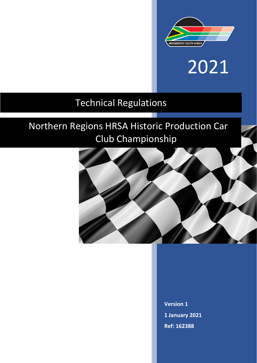

# 2021

### Technical Regulations

## Northern Regions HRSA Historic Production Car Club Championship

Ш



**Version 1 1 January 2021 Ref: 162388**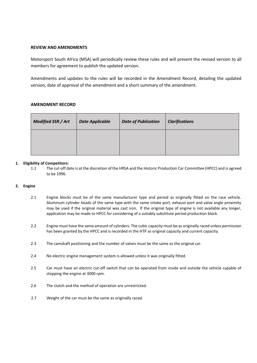#### **REVIEW AND AMENDMENTS**

Motorsport South Africa (MSA) will periodically review these rules and will present the revised version to all members for agreement to publish the updated version.

Amendments and updates to the rules will be recorded in the Amendment Record, detailing the updated version, date of approval of the amendment and a short summary of the amendment.

#### **AMENDMENT RECORD**

| <b>Modified SSR / Art</b> | <b>Date Applicable</b> | <b>Date of Publication</b> | <b>Clarifications</b> |
|---------------------------|------------------------|----------------------------|-----------------------|
|                           |                        |                            |                       |

#### **1. Eligibility of Competitors:**

1.1 The cut-off date is at the discretion of the HRSA and the Historic Production Car Committee (HPCC) and is agreed to be 1996.

#### **2. Engine**

- 2.1 Engine blocks must be of the same manufacturer type and period as originally fitted on the race vehicle. Aluminum cylinder heads of the same type with the same intake port, exhaust port and valve angle proximity may be used if the original material was cast iron. If the original type of engine is not available any longer, application may be made to HPCC for considering of a suitably substitute period production block.
- 2.2 Engine must have the same amount of cylinders. The cubic capacity must be as originally raced unless permission has been granted by the HPCC and is recorded in the HTP as original capacity and current capacity.
- 2.3 The camshaft positioning and the number of valves must be the same as the original car.
- 2.4 No electric engine management system is allowed unless it was originally fitted.
- 2.5 Car must have an electric cut-off switch that can be operated from inside and outside the vehicle capable of stopping the engine at 3000 rpm.
- 2.6 The clutch and the method of operation are unrestricted.
- 2.7 Weight of the car must be the same as originally raced.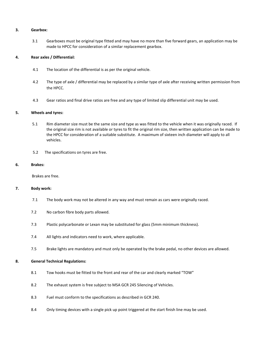#### **3. Gearbox:**

3.1 Gearboxes must be original type fitted and may have no more than five forward gears, an application may be made to HPCC for consideration of a similar replacement gearbox.

#### **4. Rear axles / Differential:**

- 4.1 The location of the differential is as per the original vehicle.
- 4.2 The type of axle / differential may be replaced by a similar type of axle after receiving written permission from the HPCC.
- 4.3 Gear ratios and final drive ratios are free and any type of limited slip differential unit may be used.

#### **5. Wheels and tyres:**

- 5.1 Rim diameter size must be the same size and type as was fitted to the vehicle when it was originally raced. If the original size rim is not available or tyres to fit the original rim size, then written application can be made to the HPCC for consideration of a suitable substitute. A maximum of sixteen inch diameter will apply to all vehicles.
- 5.2 The specifications on tyres are free.

#### **6. Brakes:**

Brakes are free.

#### **7. Body work:**

- 7.1 The body work may not be altered in any way and must remain as cars were originally raced.
- 7.2 No carbon fibre body parts allowed.
- 7.3 Plastic polycarbonate or Lexan may be substituted for glass (5mm minimum thickness).
- 7.4 All lights and indicators need to work, where applicable.
- 7.5 Brake lights are mandatory and must only be operated by the brake pedal, no other devices are allowed.

#### **8. General Technical Regulations:**

- 8.1 Tow hooks must be fitted to the front and rear of the car and clearly marked "TOW"
- 8.2 The exhaust system is free subject to MSA GCR 245 Silencing of Vehicles.
- 8.3 Fuel must conform to the specifications as described in GCR 240.
- 8.4 Only timing devices with a single pick up point triggered at the start finish line may be used.